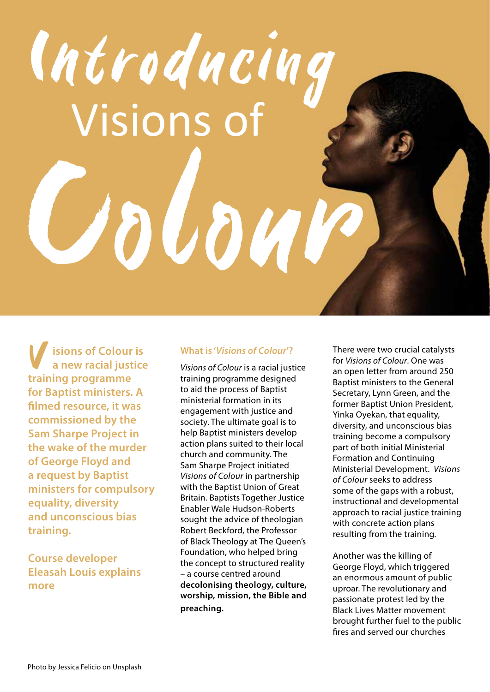# Visions of Introducing

**isions of Colour is a new racial justice training programme for Baptist ministers. A filmed resource, it was commissioned by the Sam Sharpe Project in the wake of the murder of George Floyd and a request by Baptist ministers for compulsory equality, diversity and unconscious bias training. V**<br>trai

**Course developer Eleasah Louis explains more**

### **What is '***Visions of Colour***'?**

*Visions of Colour* is a racial justice training programme designed to aid the process of Baptist ministerial formation in its engagement with justice and society. The ultimate goal is to help Baptist ministers develop action plans suited to their local church and community. The Sam Sharpe Project initiated *Visions of Colour* in partnership with the Baptist Union of Great Britain. Baptists Together Justice Enabler Wale Hudson-Roberts sought the advice of theologian Robert Beckford, the Professor of Black Theology at The Queen's Foundation, who helped bring the concept to structured reality – a course centred around **decolonising theology, culture, worship, mission, the Bible and preaching.**

There were two crucial catalysts for *Visions of Colour*. One was an open letter from around 250 Baptist ministers to the General Secretary, Lynn Green, and the former Baptist Union President, Yinka Oyekan, that equality, diversity, and unconscious bias training become a compulsory part of both initial Ministerial Formation and Continuing Ministerial Development. *Visions of Colour* seeks to address some of the gaps with a robust, instructional and developmental approach to racial justice training with concrete action plans resulting from the training.

Another was the killing of George Floyd, which triggered an enormous amount of public uproar. The revolutionary and passionate protest led by the Black Lives Matter movement brought further fuel to the public fires and served our churches